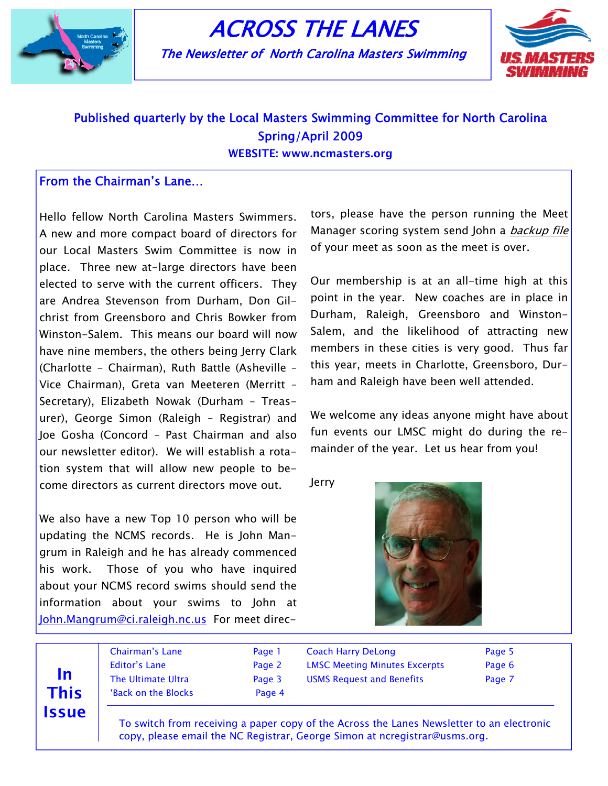

# ACROSS THE LANES

The Newsletter of North Carolina Masters Swimming



## Published quarterly by the Local Masters Swimming Committee for North Carolina Spring/April 2009

WEBSITE: www.ncmasters.org

### From the Chairman's Lane…

Hello fellow North Carolina Masters Swimmers. A new and more compact board of directors for our Local Masters Swim Committee is now in place. Three new at-large directors have been elected to serve with the current officers. They are Andrea Stevenson from Durham, Don Gilchrist from Greensboro and Chris Bowker from Winston-Salem. This means our board will now have nine members, the others being Jerry Clark (Charlotte - Chairman), Ruth Battle (Asheville – Vice Chairman), Greta van Meeteren (Merritt – Secretary), Elizabeth Nowak (Durham – Treasurer), George Simon (Raleigh – Registrar) and Joe Gosha (Concord – Past Chairman and also our newsletter editor). We will establish a rotation system that will allow new people to become directors as current directors move out.

We also have a new Top 10 person who will be updating the NCMS records. He is John Mangrum in Raleigh and he has already commenced his work. Those of you who have inquired about your NCMS record swims should send the information about your swims to John at John.Mangrum@ci.raleigh.nc.us For meet directors, please have the person running the Meet Manager scoring system send John a *backup file* of your meet as soon as the meet is over.

Our membership is at an all-time high at this point in the year. New coaches are in place in Durham, Raleigh, Greensboro and Winston-Salem, and the likelihood of attracting new members in these cities is very good. Thus far this year, meets in Charlotte, Greensboro, Durham and Raleigh have been well attended.

We welcome any ideas anyone might have about fun events our LMSC might do during the remainder of the year. Let us hear from you!

Jerry



In This **Issue**  Chairman's Lane **Page 1** Editor's Lane Page 2 The Ultimate Ultra **Page 3** 'Back on the Blocks **Page 4** 

Coach Harry DeLong **Page 5** LMSC Meeting Minutes Excerpts Page 6 USMS Request and Benefits **Page 7** 

 To switch from receiving a paper copy of the Across the Lanes Newsletter to an electronic copy, please email the NC Registrar, George Simon at ncregistrar@usms.org.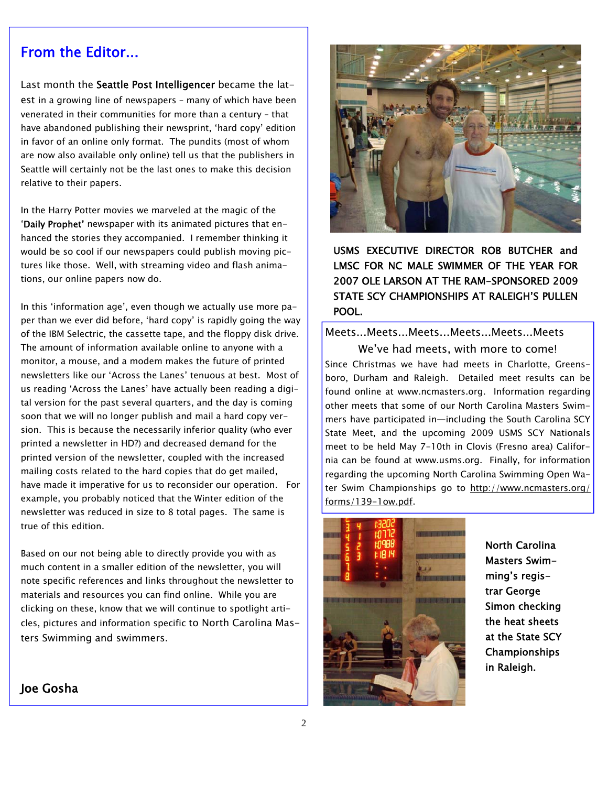### From the Editor...

Last month the Seattle Post Intelligencer became the latest in a growing line of newspapers – many of which have been venerated in their communities for more than a century – that have abandoned publishing their newsprint, 'hard copy' edition in favor of an online only format. The pundits (most of whom are now also available only online) tell us that the publishers in Seattle will certainly not be the last ones to make this decision relative to their papers.

In the Harry Potter movies we marveled at the magic of the 'Daily Prophet' newspaper with its animated pictures that enhanced the stories they accompanied. I remember thinking it would be so cool if our newspapers could publish moving pictures like those. Well, with streaming video and flash animations, our online papers now do.

In this 'information age', even though we actually use more paper than we ever did before, 'hard copy' is rapidly going the way of the IBM Selectric, the cassette tape, and the floppy disk drive. The amount of information available online to anyone with a monitor, a mouse, and a modem makes the future of printed newsletters like our 'Across the Lanes' tenuous at best. Most of us reading 'Across the Lanes' have actually been reading a digital version for the past several quarters, and the day is coming soon that we will no longer publish and mail a hard copy version. This is because the necessarily inferior quality (who ever printed a newsletter in HD?) and decreased demand for the printed version of the newsletter, coupled with the increased mailing costs related to the hard copies that do get mailed, have made it imperative for us to reconsider our operation. For example, you probably noticed that the Winter edition of the newsletter was reduced in size to 8 total pages. The same is true of this edition.

Based on our not being able to directly provide you with as much content in a smaller edition of the newsletter, you will note specific references and links throughout the newsletter to materials and resources you can find online. While you are clicking on these, know that we will continue to spotlight articles, pictures and information specific to North Carolina Masters Swimming and swimmers.



USMS EXECUTIVE DIRECTOR ROB BUTCHER and LMSC FOR NC MALE SWIMMER OF THE YEAR FOR 2007 OLE LARSON AT THE RAM-SPONSORED 2009 STATE SCY CHAMPIONSHIPS AT RALEIGH'S PULLEN POOL.

### Meets...Meets...Meets...Meets...Meets...Meets

We've had meets, with more to come! Since Christmas we have had meets in Charlotte, Greensboro, Durham and Raleigh. Detailed meet results can be found online at www.ncmasters.org. Information regarding other meets that some of our North Carolina Masters Swimmers have participated in—including the South Carolina SCY State Meet, and the upcoming 2009 USMS SCY Nationals meet to be held May 7-10th in Clovis (Fresno area) California can be found at www.usms.org. Finally, for information regarding the upcoming North Carolina Swimming Open Water Swim Championships go to http://www.ncmasters.org/ forms/139-1ow.pdf.



North Carolina Masters Swimming's registrar George Simon checking the heat sheets at the State SCY Championships in Raleigh.

### Joe Gosha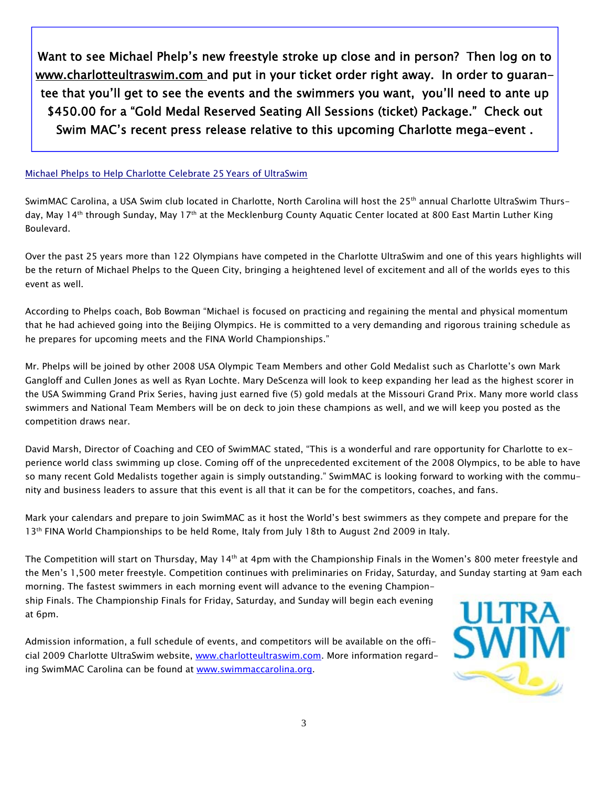Want to see Michael Phelp's new freestyle stroke up close and in person? Then log on to www.charlotteultraswim.com and put in your ticket order right away. In order to guarantee that you'll get to see the events and the swimmers you want, you'll need to ante up \$450.00 for a "Gold Medal Reserved Seating All Sessions (ticket) Package." Check out Swim MAC's recent press release relative to this upcoming Charlotte mega-event .

#### Michael Phelps to Help Charlotte Celebrate 25 Years of UltraSwim

SwimMAC Carolina, a USA Swim club located in Charlotte, North Carolina will host the 25<sup>th</sup> annual Charlotte UltraSwim Thursday, May 14<sup>th</sup> through Sunday, May 17<sup>th</sup> at the Mecklenburg County Aquatic Center located at 800 East Martin Luther King Boulevard.

Over the past 25 years more than 122 Olympians have competed in the Charlotte UltraSwim and one of this years highlights will be the return of Michael Phelps to the Queen City, bringing a heightened level of excitement and all of the worlds eyes to this event as well.

According to Phelps coach, Bob Bowman "Michael is focused on practicing and regaining the mental and physical momentum that he had achieved going into the Beijing Olympics. He is committed to a very demanding and rigorous training schedule as he prepares for upcoming meets and the FINA World Championships."

Mr. Phelps will be joined by other 2008 USA Olympic Team Members and other Gold Medalist such as Charlotte's own Mark Gangloff and Cullen Jones as well as Ryan Lochte. Mary DeScenza will look to keep expanding her lead as the highest scorer in the USA Swimming Grand Prix Series, having just earned five (5) gold medals at the Missouri Grand Prix. Many more world class swimmers and National Team Members will be on deck to join these champions as well, and we will keep you posted as the competition draws near.

David Marsh, Director of Coaching and CEO of SwimMAC stated, "This is a wonderful and rare opportunity for Charlotte to experience world class swimming up close. Coming off of the unprecedented excitement of the 2008 Olympics, to be able to have so many recent Gold Medalists together again is simply outstanding." SwimMAC is looking forward to working with the community and business leaders to assure that this event is all that it can be for the competitors, coaches, and fans.

Mark your calendars and prepare to join SwimMAC as it host the World's best swimmers as they compete and prepare for the 13<sup>th</sup> FINA World Championships to be held Rome, Italy from July 18th to August 2nd 2009 in Italy.

The Competition will start on Thursday, May 14<sup>th</sup> at 4pm with the Championship Finals in the Women's 800 meter freestyle and the Men's 1,500 meter freestyle. Competition continues with preliminaries on Friday, Saturday, and Sunday starting at 9am each

morning. The fastest swimmers in each morning event will advance to the evening Championship Finals. The Championship Finals for Friday, Saturday, and Sunday will begin each evening at 6pm.

Admission information, a full schedule of events, and competitors will be available on the official 2009 Charlotte UltraSwim website, www.charlotteultraswim.com. More information regarding SwimMAC Carolina can be found at www.swimmaccarolina.org.

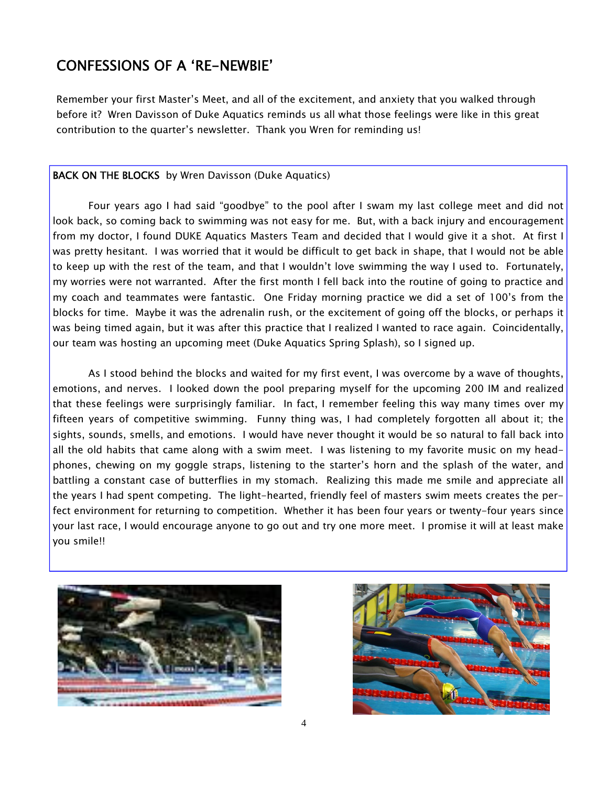### CONFESSIONS OF A 'RE-NEWBIE'

Remember your first Master's Meet, and all of the excitement, and anxiety that you walked through before it? Wren Davisson of Duke Aquatics reminds us all what those feelings were like in this great contribution to the quarter's newsletter. Thank you Wren for reminding us!

### BACK ON THE BLOCKS by Wren Davisson (Duke Aquatics)

Four years ago I had said "goodbye" to the pool after I swam my last college meet and did not look back, so coming back to swimming was not easy for me. But, with a back injury and encouragement from my doctor, I found DUKE Aquatics Masters Team and decided that I would give it a shot. At first I was pretty hesitant. I was worried that it would be difficult to get back in shape, that I would not be able to keep up with the rest of the team, and that I wouldn't love swimming the way I used to. Fortunately, my worries were not warranted. After the first month I fell back into the routine of going to practice and my coach and teammates were fantastic. One Friday morning practice we did a set of 100's from the blocks for time. Maybe it was the adrenalin rush, or the excitement of going off the blocks, or perhaps it was being timed again, but it was after this practice that I realized I wanted to race again. Coincidentally, our team was hosting an upcoming meet (Duke Aquatics Spring Splash), so I signed up.

As I stood behind the blocks and waited for my first event, I was overcome by a wave of thoughts, emotions, and nerves. I looked down the pool preparing myself for the upcoming 200 IM and realized that these feelings were surprisingly familiar. In fact, I remember feeling this way many times over my fifteen years of competitive swimming. Funny thing was, I had completely forgotten all about it; the sights, sounds, smells, and emotions. I would have never thought it would be so natural to fall back into all the old habits that came along with a swim meet. I was listening to my favorite music on my headphones, chewing on my goggle straps, listening to the starter's horn and the splash of the water, and battling a constant case of butterflies in my stomach. Realizing this made me smile and appreciate all the years I had spent competing. The light-hearted, friendly feel of masters swim meets creates the perfect environment for returning to competition. Whether it has been four years or twenty-four years since your last race, I would encourage anyone to go out and try one more meet. I promise it will at least make you smile!!



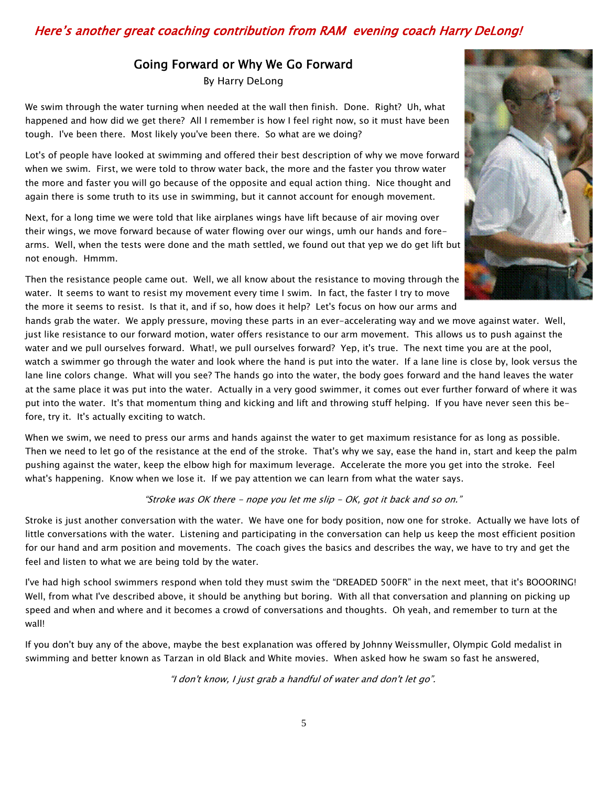### Here's another great coaching contribution from RAM evening coach Harry DeLong!

### Going Forward or Why We Go Forward

By Harry DeLong

We swim through the water turning when needed at the wall then finish. Done. Right? Uh, what happened and how did we get there? All I remember is how I feel right now, so it must have been tough. I've been there. Most likely you've been there. So what are we doing?

Lot's of people have looked at swimming and offered their best description of why we move forward when we swim. First, we were told to throw water back, the more and the faster you throw water the more and faster you will go because of the opposite and equal action thing. Nice thought and again there is some truth to its use in swimming, but it cannot account for enough movement.

Next, for a long time we were told that like airplanes wings have lift because of air moving over their wings, we move forward because of water flowing over our wings, umh our hands and forearms. Well, when the tests were done and the math settled, we found out that yep we do get lift but not enough. Hmmm.



hands grab the water. We apply pressure, moving these parts in an ever-accelerating way and we move against water. Well, just like resistance to our forward motion, water offers resistance to our arm movement. This allows us to push against the water and we pull ourselves forward. What!, we pull ourselves forward? Yep, it's true. The next time you are at the pool, watch a swimmer go through the water and look where the hand is put into the water. If a lane line is close by, look versus the lane line colors change. What will you see? The hands go into the water, the body goes forward and the hand leaves the water at the same place it was put into the water. Actually in a very good swimmer, it comes out ever further forward of where it was put into the water. It's that momentum thing and kicking and lift and throwing stuff helping. If you have never seen this before, try it. It's actually exciting to watch.

When we swim, we need to press our arms and hands against the water to get maximum resistance for as long as possible. Then we need to let go of the resistance at the end of the stroke. That's why we say, ease the hand in, start and keep the palm pushing against the water, keep the elbow high for maximum leverage. Accelerate the more you get into the stroke. Feel what's happening. Know when we lose it. If we pay attention we can learn from what the water says.

#### "Stroke was OK there - nope you let me slip - OK, got it back and so on."

Stroke is just another conversation with the water. We have one for body position, now one for stroke. Actually we have lots of little conversations with the water. Listening and participating in the conversation can help us keep the most efficient position for our hand and arm position and movements. The coach gives the basics and describes the way, we have to try and get the feel and listen to what we are being told by the water.

I've had high school swimmers respond when told they must swim the "DREADED 500FR" in the next meet, that it's BOOORING! Well, from what I've described above, it should be anything but boring. With all that conversation and planning on picking up speed and when and where and it becomes a crowd of conversations and thoughts. Oh yeah, and remember to turn at the wall!

If you don't buy any of the above, maybe the best explanation was offered by Johnny Weissmuller, Olympic Gold medalist in swimming and better known as Tarzan in old Black and White movies. When asked how he swam so fast he answered,

"I don't know, I just grab a handful of water and don't let go".

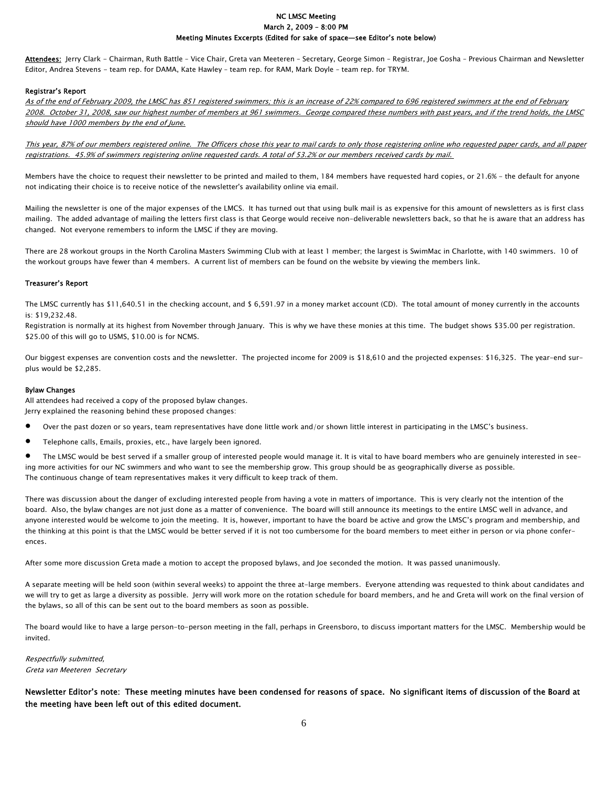#### NC LMSC Meeting March 2, 2009 – 8:00 PM Meeting Minutes Excerpts (Edited for sake of space—see Editor's note below)

Attendees: Jerry Clark - Chairman, Ruth Battle - Vice Chair, Greta van Meeteren - Secretary, George Simon - Registrar, Joe Gosha - Previous Chairman and Newsletter Editor, Andrea Stevens - team rep. for DAMA, Kate Hawley – team rep. for RAM, Mark Doyle – team rep. for TRYM.

#### Registrar's Report

As of the end of February 2009, the LMSC has 851 registered swimmers; this is an increase of 22% compared to 696 registered swimmers at the end of February 2008. October 31, 2008, saw our highest number of members at 961 swimmers. George compared these numbers with past years, and if the trend holds, the LMSC should have 1000 members by the end of June.

This year, 87% of our members registered online. The Officers chose this year to mail cards to only those registering online who requested paper cards, and all paper registrations. 45.9% of swimmers registering online requested cards. A total of 53.2% or our members received cards by mail.

Members have the choice to request their newsletter to be printed and mailed to them, 184 members have requested hard copies, or 21.6% - the default for anyone not indicating their choice is to receive notice of the newsletter's availability online via email.

Mailing the newsletter is one of the major expenses of the LMCS. It has turned out that using bulk mail is as expensive for this amount of newsletters as is first class mailing. The added advantage of mailing the letters first class is that George would receive non-deliverable newsletters back, so that he is aware that an address has changed. Not everyone remembers to inform the LMSC if they are moving.

There are 28 workout groups in the North Carolina Masters Swimming Club with at least 1 member; the largest is SwimMac in Charlotte, with 140 swimmers. 10 of the workout groups have fewer than 4 members. A current list of members can be found on the website by viewing the members link.

#### Treasurer's Report

The LMSC currently has \$11,640.51 in the checking account, and \$ 6,591.97 in a money market account (CD). The total amount of money currently in the accounts is: \$19,232.48.

Registration is normally at its highest from November through January. This is why we have these monies at this time. The budget shows \$35.00 per registration. \$25.00 of this will go to USMS, \$10.00 is for NCMS.

Our biggest expenses are convention costs and the newsletter. The projected income for 2009 is \$18,610 and the projected expenses: \$16,325. The year-end surplus would be \$2,285.

#### Bylaw Changes

All attendees had received a copy of the proposed bylaw changes. Jerry explained the reasoning behind these proposed changes:

- Over the past dozen or so years, team representatives have done little work and/or shown little interest in participating in the LMSC's business.
- Telephone calls, Emails, proxies, etc., have largely been ignored.

• The LMSC would be best served if a smaller group of interested people would manage it. It is vital to have board members who are genuinely interested in seeing more activities for our NC swimmers and who want to see the membership grow. This group should be as geographically diverse as possible. The continuous change of team representatives makes it very difficult to keep track of them.

There was discussion about the danger of excluding interested people from having a vote in matters of importance. This is very clearly not the intention of the board. Also, the bylaw changes are not just done as a matter of convenience. The board will still announce its meetings to the entire LMSC well in advance, and anyone interested would be welcome to join the meeting. It is, however, important to have the board be active and grow the LMSC's program and membership, and the thinking at this point is that the LMSC would be better served if it is not too cumbersome for the board members to meet either in person or via phone conferences.

After some more discussion Greta made a motion to accept the proposed bylaws, and Joe seconded the motion. It was passed unanimously.

A separate meeting will be held soon (within several weeks) to appoint the three at-large members. Everyone attending was requested to think about candidates and we will try to get as large a diversity as possible. Jerry will work more on the rotation schedule for board members, and he and Greta will work on the final version of the bylaws, so all of this can be sent out to the board members as soon as possible.

The board would like to have a large person-to-person meeting in the fall, perhaps in Greensboro, to discuss important matters for the LMSC. Membership would be invited.

Respectfully submitted, Greta van Meeteren Secretary

Newsletter Editor's note: These meeting minutes have been condensed for reasons of space. No significant items of discussion of the Board at the meeting have been left out of this edited document.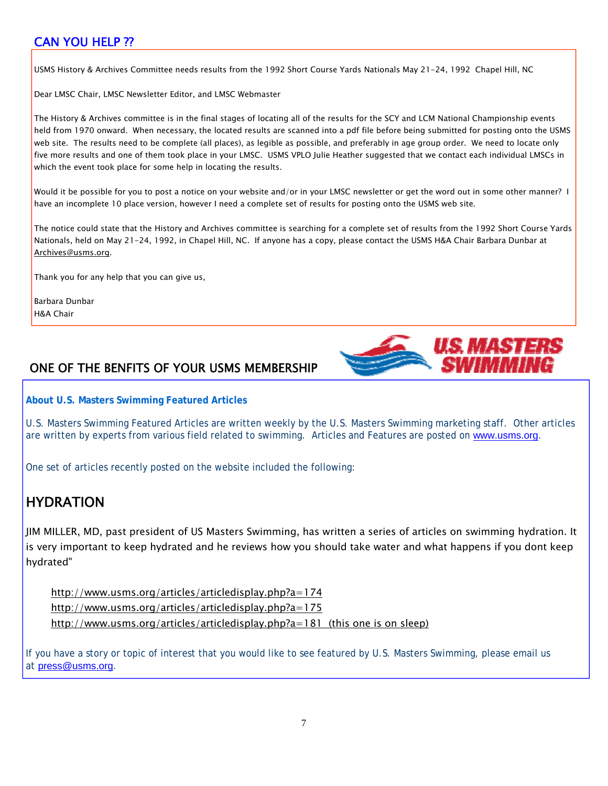### CAN YOU HELP ??

USMS History & Archives Committee needs results from the 1992 Short Course Yards Nationals May 21-24, 1992 Chapel Hill, NC

Dear LMSC Chair, LMSC Newsletter Editor, and LMSC Webmaster

The History & Archives committee is in the final stages of locating all of the results for the SCY and LCM National Championship events held from 1970 onward. When necessary, the located results are scanned into a pdf file before being submitted for posting onto the USMS web site. The results need to be complete (all places), as legible as possible, and preferably in age group order. We need to locate only five more results and one of them took place in your LMSC. USMS VPLO Julie Heather suggested that we contact each individual LMSCs in which the event took place for some help in locating the results.

Would it be possible for you to post a notice on your website and/or in your LMSC newsletter or get the word out in some other manner? I have an incomplete 10 place version, however I need a complete set of results for posting onto the USMS web site.

The notice could state that the History and Archives committee is searching for a complete set of results from the 1992 Short Course Yards Nationals, held on May 21-24, 1992, in Chapel Hill, NC. If anyone has a copy, please contact the USMS H&A Chair Barbara Dunbar at Archives@usms.org.

Thank you for any help that you can give us,

Barbara Dunbar H&A Chair

### ONE OF THE BENFITS OF YOUR USMS MEMBERSHIP

**About U.S. Masters Swimming Featured Articles**

U.S. Masters Swimming Featured Articles are written weekly by the U.S. Masters Swimming marketing staff. Other articles are written by experts from various field related to swimming. Articles and Features are posted on www.usms.org.

US MASHERS

One set of articles recently posted on the website included the following:

### HYDRATION

JIM MILLER, MD, past president of US Masters Swimming, has written a series of articles on swimming hydration. It is very important to keep hydrated and he reviews how you should take water and what happens if you dont keep hydrated"

 http://www.usms.org/articles/articledisplay.php?a=174 http://www.usms.org/articles/articledisplay.php?a=175 http://www.usms.org/articles/articledisplay.php?a=181 (this one is on sleep)

If you have a story or topic of interest that you would like to see featured by U.S. Masters Swimming, please email us at press@usms.org.